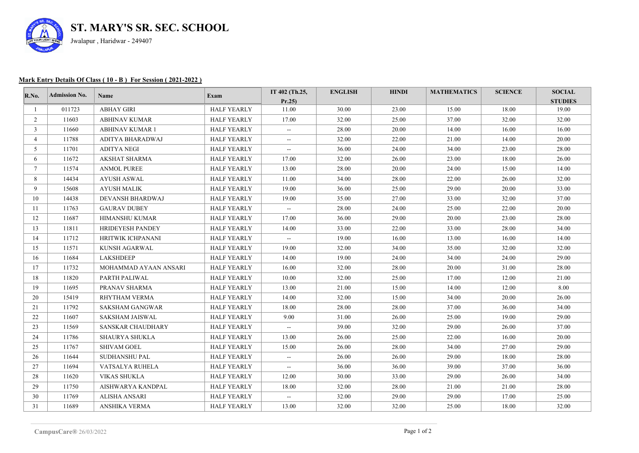

## **Mark Entry Details Of Class ( 10 - B ) For Session ( 2021-2022 )**

| R.No.           | <b>Admission No.</b> | <b>Name</b>             | Exam               | IT 402 (Th.25,                     | <b>ENGLISH</b> | <b>HINDI</b> | <b>MATHEMATICS</b> | <b>SCIENCE</b> | <b>SOCIAL</b>  |
|-----------------|----------------------|-------------------------|--------------------|------------------------------------|----------------|--------------|--------------------|----------------|----------------|
|                 |                      |                         |                    | Pr.25                              |                |              |                    |                | <b>STUDIES</b> |
|                 | 011723               | <b>ABHAY GIRI</b>       | <b>HALF YEARLY</b> | 11.00                              | 30.00          | 23.00        | 15.00              | 18.00          | 19.00          |
| $\overline{2}$  | 11603                | <b>ABHINAV KUMAR</b>    | <b>HALF YEARLY</b> | 17.00                              | 32.00          | 25.00        | 37.00              | 32.00          | 32.00          |
| $\mathbf{3}$    | 11660                | <b>ABHINAV KUMAR 1</b>  | <b>HALF YEARLY</b> | $\qquad \qquad -$                  | 28.00          | 20.00        | 14.00              | 16.00          | 16.00          |
| $\overline{4}$  | 11788                | ADITYA BHARADWAJ        | <b>HALF YEARLY</b> | $\hspace{0.05cm} -\hspace{0.05cm}$ | 32.00          | 22.00        | 21.00              | 14.00          | 20.00          |
| 5 <sup>5</sup>  | 11701                | <b>ADITYA NEGI</b>      | <b>HALF YEARLY</b> | $\overline{\phantom{a}}$           | 36.00          | 24.00        | 34.00              | 23.00          | 28.00          |
| 6               | 11672                | AKSHAT SHARMA           | <b>HALF YEARLY</b> | 17.00                              | 32.00          | 26.00        | 23.00              | 18.00          | 26.00          |
| $7\overline{ }$ | 11574                | <b>ANMOL PUREE</b>      | <b>HALF YEARLY</b> | 13.00                              | 28.00          | 20.00        | 24.00              | 15.00          | 14.00          |
| 8               | 14434                | <b>AYUSH ASWAL</b>      | <b>HALF YEARLY</b> | 11.00                              | 34.00          | 28.00        | 22.00              | 26.00          | 32.00          |
| 9               | 15608                | <b>AYUSH MALIK</b>      | <b>HALF YEARLY</b> | 19.00                              | 36.00          | 25.00        | 29.00              | 20.00          | 33.00          |
| 10              | 14438                | DEVANSH BHARDWAJ        | <b>HALF YEARLY</b> | 19.00                              | 35.00          | 27.00        | 33.00              | 32.00          | 37.00          |
| 11              | 11763                | <b>GAURAV DUBEY</b>     | <b>HALF YEARLY</b> | $\sim$                             | 28.00          | 24.00        | 25.00              | 22.00          | 20.00          |
| 12              | 11687                | HIMANSHU KUMAR          | <b>HALF YEARLY</b> | 17.00                              | 36.00          | 29.00        | 20.00              | 23.00          | 28.00          |
| 13              | 11811                | <b>HRIDEYESH PANDEY</b> | <b>HALF YEARLY</b> | 14.00                              | 33.00          | 22.00        | 33.00              | 28.00          | 34.00          |
| 14              | 11712                | HRITWIK ICHPANANI       | <b>HALF YEARLY</b> | $\overline{\phantom{a}}$           | 19.00          | 16.00        | 13.00              | 16.00          | 14.00          |
| 15              | 11571                | KUNSH AGARWAL           | <b>HALF YEARLY</b> | 19.00                              | 32.00          | 34.00        | 35.00              | 32.00          | 32.00          |
| 16              | 11684                | LAKSHDEEP               | <b>HALF YEARLY</b> | 14.00                              | 19.00          | 24.00        | 34.00              | 24.00          | 29.00          |
| 17              | 11732                | MOHAMMAD AYAAN ANSARI   | <b>HALF YEARLY</b> | 16.00                              | 32.00          | 28.00        | 20.00              | 31.00          | 28.00          |
| 18              | 11820                | PARTH PALIWAL           | <b>HALF YEARLY</b> | 10.00                              | 32.00          | 25.00        | 17.00              | 12.00          | 21.00          |
| 19              | 11695                | PRANAV SHARMA           | <b>HALF YEARLY</b> | 13.00                              | 21.00          | 15.00        | 14.00              | 12.00          | 8.00           |
| 20              | 15419                | RHYTHAM VERMA           | <b>HALF YEARLY</b> | 14.00                              | 32.00          | 15.00        | 34.00              | 20.00          | 26.00          |
| 21              | 11792                | SAKSHAM GANGWAR         | <b>HALF YEARLY</b> | 18.00                              | 28.00          | 28.00        | 37.00              | 36.00          | 34.00          |
| 22              | 11607                | SAKSHAM JAISWAL         | <b>HALF YEARLY</b> | 9.00                               | 31.00          | 26.00        | 25.00              | 19.00          | 29.00          |
| 23              | 11569                | SANSKAR CHAUDHARY       | <b>HALF YEARLY</b> | $\overline{\phantom{a}}$           | 39.00          | 32.00        | 29.00              | 26.00          | 37.00          |
| 24              | 11786                | <b>SHAURYA SHUKLA</b>   | <b>HALF YEARLY</b> | 13.00                              | 26.00          | 25.00        | 22.00              | 16.00          | 20.00          |
| 25              | 11767                | <b>SHIVAM GOEL</b>      | <b>HALF YEARLY</b> | 15.00                              | 26.00          | 28.00        | 34.00              | 27.00          | 29.00          |
| 26              | 11644                | <b>SUDHANSHU PAL</b>    | <b>HALF YEARLY</b> | $\sim$                             | 26.00          | 26.00        | 29.00              | 18.00          | 28.00          |
| 27              | 11694                | VATSALYA RUHELA         | HALF YEARLY        | $\sim$                             | 36.00          | 36.00        | 39.00              | 37.00          | 36.00          |
| 28              | 11620                | VIKAS SHUKLA            | <b>HALF YEARLY</b> | 12.00                              | 30.00          | 33.00        | 29.00              | 26.00          | 34.00          |
| 29              | 11750                | AISHWARYA KANDPAL       | <b>HALF YEARLY</b> | 18.00                              | 32.00          | 28.00        | 21.00              | 21.00          | 28.00          |
| 30              | 11769                | ALISHA ANSARI           | <b>HALF YEARLY</b> | $\overline{\phantom{a}}$           | 32.00          | 29.00        | 29.00              | 17.00          | 25.00          |
| 31              | 11689                | <b>ANSHIKA VERMA</b>    | <b>HALF YEARLY</b> | 13.00                              | 32.00          | 32.00        | 25.00              | 18.00          | 32.00          |